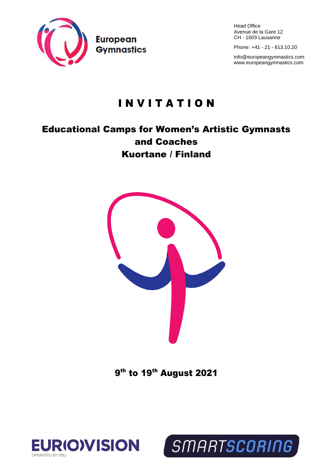

Head Office Avenue de la Gare 12 CH - 1003 Lausanne

Phone: +41 - 21 - 613.10.20

[info@europeangymnastics.com](mailto:info@europeangymnastics.com) [www.europeangymnastics.com](http://www.europeangymnastics.com/)

# I N V I T A T I O N

# Educational Camps for Women's Artistic Gymnasts and Coaches Kuortane / Finland



9<sup>th</sup> to 19<sup>th</sup> August 2021

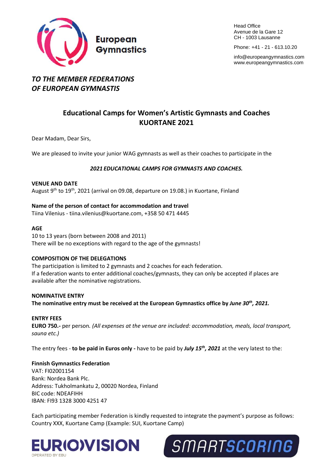

**Head Office** Avenue de la Gare 12 CH - 1003 Lausanne

Phone: +41 - 21 - 613.10.20

[info@europeangymnastics.com](mailto:info@europeangymnastics.com) [www.europeangymnastics.com](http://www.europeangymnastics.com/)

# *TO THE MEMBER FEDERATIONS OF EUROPEAN GYMNASTIS*

# **Educational Camps for Women's Artistic Gymnasts and Coaches KUORTANE 2021**

Dear Madam, Dear Sirs,

We are pleased to invite your junior WAG gymnasts as well as their coaches to participate in the

# *2021 EDUCATIONAL CAMPS FOR GYMNASTS AND COACHES.*

#### **VENUE AND DATE**

August 9<sup>th</sup> to 19<sup>th</sup>, 2021 (arrival on 09.08, departure on 19.08.) in Kuortane, Finland

# **Name of the person of contact for accommodation and travel**

Tiina Vilenius - [tiina.vilenius@kuortane.com,](mailto:tiina.vilenius@kuortane.com) +358 50 471 4445

#### **AGE**

10 to 13 years (born between 2008 and 2011) There will be no exceptions with regard to the age of the gymnasts!

#### **COMPOSITION OF THE DELEGATIONS**

The participation is limited to 2 gymnasts and 2 coaches for each federation. If a federation wants to enter additional coaches/gymnasts, they can only be accepted if places are available after the nominative registrations.

#### **NOMINATIVE ENTRY**

**The nominative entry must be received at the European Gymnastics office by** *June 30th , 2021.* 

#### **ENTRY FEES**

**EURO 750.-** per person*. (All expenses at the venue are included: accommodation, meals, local transport, sauna etc.)*

The entry fees - **to be paid in Euros only -** have to be paid by *July 15th , 2021* at the very latest to the:

# **Finnish Gymnastics Federation**

VAT: FI02001154 Bank: Nordea Bank Plc. Address: Tukholmankatu 2, 00020 Nordea, Finland BIC code: NDEAFIHH IBAN: FI93 1328 3000 4251 47

Each participating member Federation is kindly requested to integrate the payment's purpose as follows: Country XXX, Kuortane Camp (Example: SUI, Kuortane Camp)



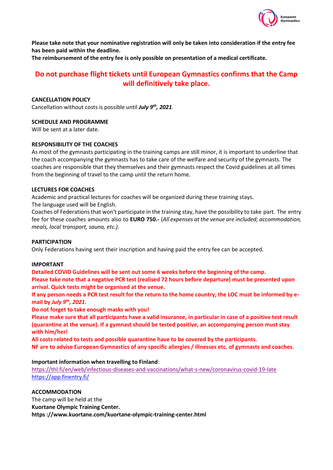

**Please take note that your nominative registration will only be taken into consideration if the entry fee has been paid within the deadline.**

**The reimbursement of the entry fee is only possible on presentation of a medical certificate.** 

# **Do not purchase flight tickets until European Gymnastics confirms that the Camp will definitively take place.**

# **CANCELLATION POLICY**

Cancellation without costs is possible until *July 9th, 2021.*

# **SCHEDULE AND PROGRAMME**

Will be sent at a later date.

# **RESPONSIBILITY OF THE COACHES**

As most of the gymnasts participating in the training camps are still minor, it is important to underline that the coach accompanying the gymnasts has to take care of the welfare and security of the gymnasts. The coaches are responsible that they themselves and their gymnasts respect the Covid guidelines at all times from the beginning of travel to the camp until the return home.

#### **LECTURES FOR COACHES**

Academic and practical lectures for coaches will be organized during these training stays.

The language used will be English.

Coaches of Federations that won't participate in the training stay, have the possibility to take part. The entry fee for these coaches amounts also to **EURO 750.-** (*All expenses at the venue are included; accommodation, meals, local transport, sauna, etc.).*

#### **PARTICIPATION**

Only Federations having sent their inscription and having paid the entry fee can be accepted.

#### **IMPORTANT**

**Detailed COVID Guidelines will be sent out some 6 weeks before the beginning of the camp. Please take note that a negative PCR test (realised 72 hours before departure) must be presented upon arrival. Quick tests might be organised at the venue.** 

**If any person needs a PCR test result for the return to the home country, the LOC must be informed by email by** *July 9th, 2021***.**

**Do not forget to take enough masks with you!**

**Please make sure that all participants have a valid insurance, in particular in case of a positive test result (quarantine at the venue). If a gymnast should be tested positive, an accompanying person must stay with him/her!** 

**All costs related to tests and possible quarantine have to be covered by the participants. NF are to advise European Gymnastics of any specific allergies / illnesses etc. of gymnasts and coaches.**

#### **Important information when travelling to Finland**:

[https://thl.fi/en/web/infectious-diseases-and-vaccinations/what-s-new/coronavirus-covid-19-late](https://thl.fi/en/web/infectious-diseases-and-vaccinations/what-s-new/coronavirus-covid-19-latest-updates/travel-and-the-coronavirus-pandemic) <https://app.finentry.fi/>

# **ACCOMMODATION**

The camp will be held at the **Kuortane Olympic Training Center. https ://www.kuortane.com/kuortane-olympic-training-center.html**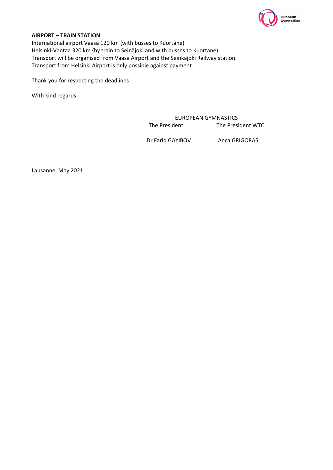

# **AIRPORT – TRAIN STATION**

International airport Vaasa 120 km {with busses to Kuortane) Helsinki-Vantaa 320 km {by train to Seinäjoki and with busses to Kuortane) Transport will be organised from Vaasa Airport and the Seinkäjoki Railway station. Transport from Helsinki Airport is only possible against payment.

Thank you for respecting the deadlines!

With kind regards

EUROPEAN GYMNASTICS The President The President WTC

Dr Farid GAYIBOV Anca GRIGORAS

Lausanne, May 2021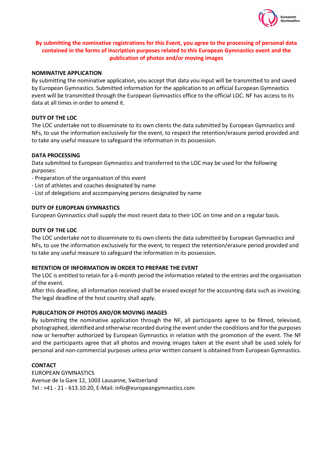

# **By submitting the nominative registrations for this Event, you agree to the processing of personal data contained in the forms of inscription purposes related to this European Gymnastics event and the publication of photos and/or moving images**

#### **NOMINATIVE APPLICATION**

By submitting the nominative application, you accept that data you input will be transmitted to and saved by European Gymnastics. Submitted information for the application to an official European Gymnastics event will be transmitted through the European Gymnastics office to the official LOC. NF has access to its data at all times in order to amend it.

# **DUTY OF THE LOC**

The LOC undertake not to disseminate to its own clients the data submitted by European Gymnastics and NFs, to use the information exclusively for the event, to respect the retention/erasure period provided and to take any useful measure to safeguard the information in its possession.

# **DATA PROCESSING**

Data submitted to European Gymnastics and transferred to the LOC may be used for the following purposes:

- Preparation of the organisation of this event
- List of athletes and coaches designated by name
- List of delegations and accompanying persons designated by name

# **DUTY OF EUROPEAN GYMNASTICS**

European Gymnastics shall supply the most recent data to their LOC on time and on a regular basis.

# **DUTY OF THE LOC**

The LOC undertake not to disseminate to its own clients the data submitted by European Gymnastics and NFs, to use the information exclusively for the event, to respect the retention/erasure period provided and to take any useful measure to safeguard the information in its possession.

#### **RETENTION OF INFORMATION IN ORDER TO PREPARE THE EVENT**

The LOC is entitled to retain for a 6-month period the information related to the entries and the organisation of the event.

After this deadline, all information received shall be erased except for the accounting data such as invoicing. The legal deadline of the host country shall apply.

#### **PUBLICATION OF PHOTOS AND/OR MOVING IMAGES**

By submitting the nominative application through the NF, all participants agree to be filmed, televised, photographed, identified and otherwise recorded during the event under the conditions and for the purposes now or hereafter authorized by European Gymnastics in relation with the promotion of the event. The NF and the participants agree that all photos and moving images taken at the event shall be used solely for personal and non-commercial purposes unless prior written consent is obtained from European Gymnastics.

#### **CONTACT**

EUROPEAN GYMNASTICS Avenue de la Gare 12, 1003 Lausanne, Switzerland Tel : +41 - 21 - 613.10.20, E-Mail: info@europeangymnastics.com